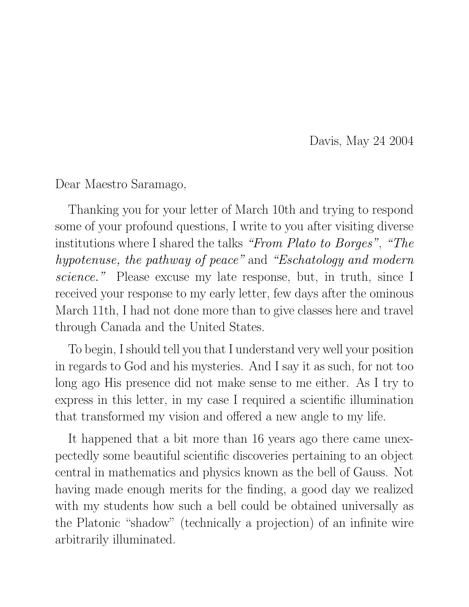Davis, May 24 2004

Dear Maestro Saramago,

Thanking you for your letter of March 10th and trying to respond some of your profound questions, I write to you after visiting diverse institutions where I shared the talks *"From Plato to Borges"*, *"The hypotenuse, the pathway of peace"* and *"Eschatology and modern science."* Please excuse my late response, but, in truth, since I received your response to my early letter, few days after the ominous March 11th, I had not done more than to give classes here and travel through Canada and the United States.

To begin, I should tell you that I understand very well your position in regards to God and his mysteries. And I say it as such, for not too long ago His presence did not make sense to me either. As I try to express in this letter, in my case I required a scientific illumination that transformed my vision and offered a new angle to my life.

It happened that a bit more than 16 years ago there came unexpectedly some beautiful scientific discoveries pertaining to an object central in mathematics and physics known as the bell of Gauss. Not having made enough merits for the finding, a good day we realized with my students how such a bell could be obtained universally as the Platonic "shadow" (technically a projection) of an infinite wire arbitrarily illuminated.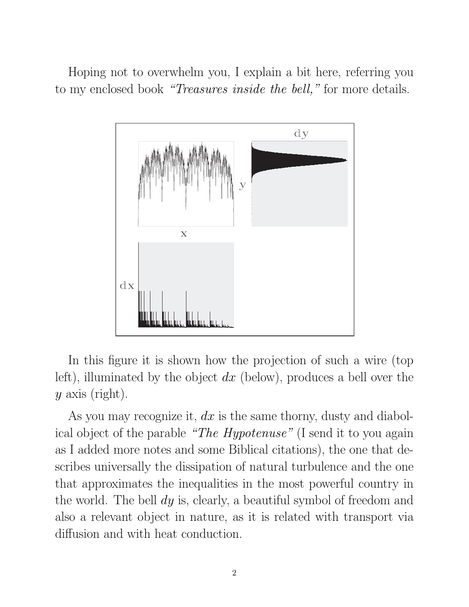Hoping not to overwhelm you, I explain a bit here, referring you to my enclosed book *"Treasures inside the bell,"* for more details.



In this figure it is shown how the projection of such a wire (top left), illuminated by the object *dx* (below), produces a bell over the *y* axis (right).

As you may recognize it, *dx* is the same thorny, dusty and diabolical object of the parable *"The Hypotenuse"* (I send it to you again as I added more notes and some Biblical citations), the one that describes universally the dissipation of natural turbulence and the one that approximates the inequalities in the most powerful country in the world. The bell *dy* is, clearly, a beautiful symbol of freedom and also a relevant object in nature, as it is related with transport via diffusion and with heat conduction.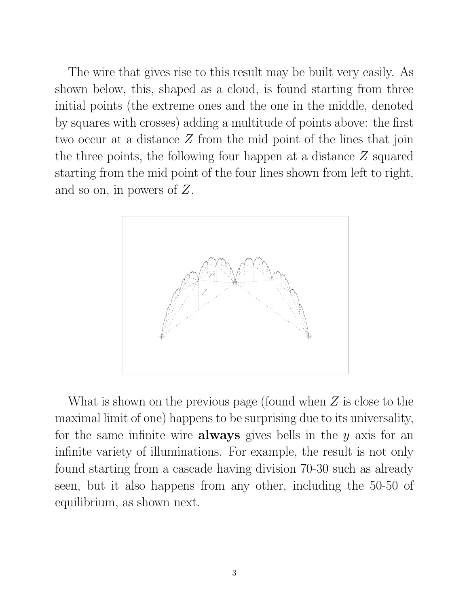The wire that gives rise to this result may be built very easily. As shown below, this, shaped as a cloud, is found starting from three initial points (the extreme ones and the one in the middle, denoted by squares with crosses) adding a multitude of points above: the first two occur at a distance *Z* from the mid point of the lines that join the three points, the following four happen at a distance *Z* squared starting from the mid point of the four lines shown from left to right, and so on, in powers of *Z*.



What is shown on the previous page (found when *Z* is close to the maximal limit of one) happens to be surprising due to its universality, for the same infinite wire **always** gives bells in the *y* axis for an infinite variety of illuminations. For example, the result is not only found starting from a cascade having division 70-30 such as already seen, but it also happens from any other, including the 50-50 of equilibrium, as shown next.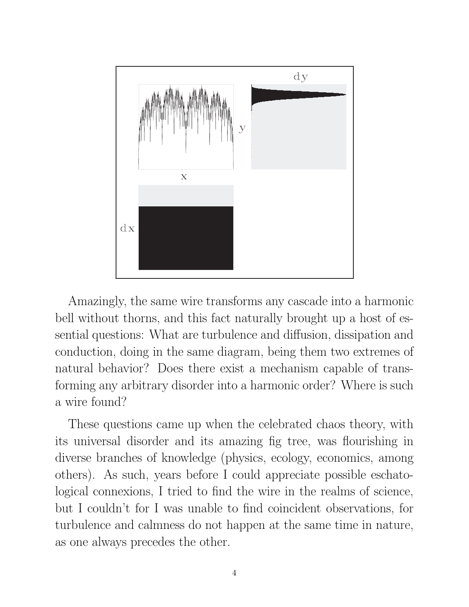

Amazingly, the same wire transforms any cascade into a harmonic bell without thorns, and this fact naturally brought up a host of essential questions: What are turbulence and diffusion, dissipation and conduction, doing in the same diagram, being them two extremes of natural behavior? Does there exist a mechanism capable of transforming any arbitrary disorder into a harmonic order? Where is such a wire found?

These questions came up when the celebrated chaos theory, with its universal disorder and its amazing fig tree, was flourishing in diverse branches of knowledge (physics, ecology, economics, among others). As such, years before I could appreciate possible eschatological connexions, I tried to find the wire in the realms of science, but I couldn't for I was unable to find coincident observations, for turbulence and calmness do not happen at the same time in nature, as one always precedes the other.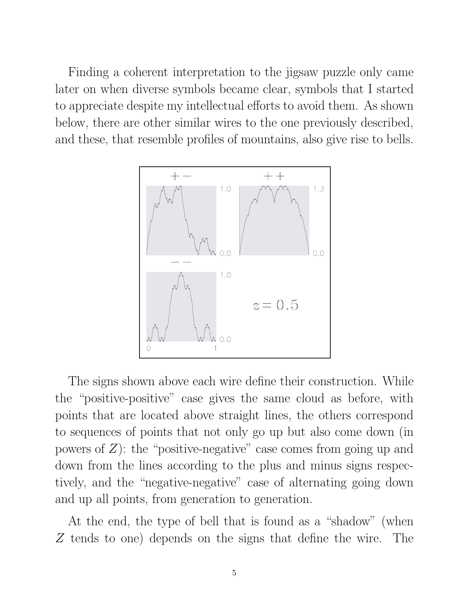Finding a coherent interpretation to the jigsaw puzzle only came later on when diverse symbols became clear, symbols that I started to appreciate despite my intellectual efforts to avoid them. As shown below, there are other similar wires to the one previously described, and these, that resemble profiles of mountains, also give rise to bells.



The signs shown above each wire define their construction. While the "positive-positive" case gives the same cloud as before, with points that are located above straight lines, the others correspond to sequences of points that not only go up but also come down (in powers of *Z*): the "positive-negative" case comes from going up and down from the lines according to the plus and minus signs respectively, and the "negative-negative" case of alternating going down and up all points, from generation to generation.

At the end, the type of bell that is found as a "shadow" (when *Z* tends to one) depends on the signs that define the wire. The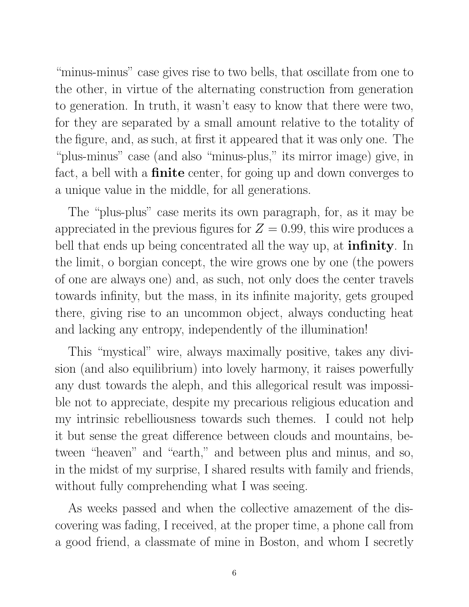"minus-minus" case gives rise to two bells, that oscillate from one to the other, in virtue of the alternating construction from generation to generation. In truth, it wasn't easy to know that there were two, for they are separated by a small amount relative to the totality of the figure, and, as such, at first it appeared that it was only one. The "plus-minus" case (and also "minus-plus," its mirror image) give, in fact, a bell with a **finite** center, for going up and down converges to a unique value in the middle, for all generations.

The "plus-plus" case merits its own paragraph, for, as it may be appreciated in the previous figures for  $Z = 0.99$ , this wire produces a bell that ends up being concentrated all the way up, at **infinity**. In the limit, o borgian concept, the wire grows one by one (the powers of one are always one) and, as such, not only does the center travels towards infinity, but the mass, in its infinite majority, gets grouped there, giving rise to an uncommon object, always conducting heat and lacking any entropy, independently of the illumination!

This "mystical" wire, always maximally positive, takes any division (and also equilibrium) into lovely harmony, it raises powerfully any dust towards the aleph, and this allegorical result was impossible not to appreciate, despite my precarious religious education and my intrinsic rebelliousness towards such themes. I could not help it but sense the great difference between clouds and mountains, between "heaven" and "earth," and between plus and minus, and so, in the midst of my surprise, I shared results with family and friends, without fully comprehending what I was seeing.

As weeks passed and when the collective amazement of the discovering was fading, I received, at the proper time, a phone call from a good friend, a classmate of mine in Boston, and whom I secretly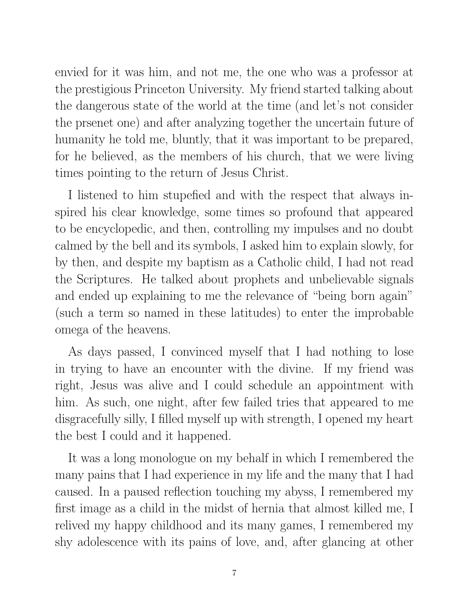envied for it was him, and not me, the one who was a professor at the prestigious Princeton University. My friend started talking about the dangerous state of the world at the time (and let's not consider the prsenet one) and after analyzing together the uncertain future of humanity he told me, bluntly, that it was important to be prepared, for he believed, as the members of his church, that we were living times pointing to the return of Jesus Christ.

I listened to him stupefied and with the respect that always inspired his clear knowledge, some times so profound that appeared to be encyclopedic, and then, controlling my impulses and no doubt calmed by the bell and its symbols, I asked him to explain slowly, for by then, and despite my baptism as a Catholic child, I had not read the Scriptures. He talked about prophets and unbelievable signals and ended up explaining to me the relevance of "being born again" (such a term so named in these latitudes) to enter the improbable omega of the heavens.

As days passed, I convinced myself that I had nothing to lose in trying to have an encounter with the divine. If my friend was right, Jesus was alive and I could schedule an appointment with him. As such, one night, after few failed tries that appeared to me disgracefully silly, I filled myself up with strength, I opened my heart the best I could and it happened.

It was a long monologue on my behalf in which I remembered the many pains that I had experience in my life and the many that I had caused. In a paused reflection touching my abyss, I remembered my first image as a child in the midst of hernia that almost killed me, I relived my happy childhood and its many games, I remembered my shy adolescence with its pains of love, and, after glancing at other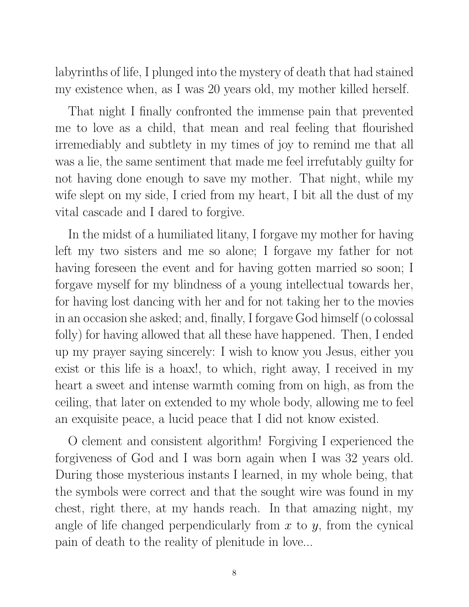labyrinths of life, I plunged into the mystery of death that had stained my existence when, as I was 20 years old, my mother killed herself.

That night I finally confronted the immense pain that prevented me to love as a child, that mean and real feeling that flourished irremediably and subtlety in my times of joy to remind me that all was a lie, the same sentiment that made me feel irrefutably guilty for not having done enough to save my mother. That night, while my wife slept on my side, I cried from my heart, I bit all the dust of my vital cascade and I dared to forgive.

In the midst of a humiliated litany, I forgave my mother for having left my two sisters and me so alone; I forgave my father for not having foreseen the event and for having gotten married so soon; I forgave myself for my blindness of a young intellectual towards her, for having lost dancing with her and for not taking her to the movies in an occasion she asked; and, finally, I forgave God himself (o colossal folly) for having allowed that all these have happened. Then, I ended up my prayer saying sincerely: I wish to know you Jesus, either you exist or this life is a hoax!, to which, right away, I received in my heart a sweet and intense warmth coming from on high, as from the ceiling, that later on extended to my whole body, allowing me to feel an exquisite peace, a lucid peace that I did not know existed.

O clement and consistent algorithm! Forgiving I experienced the forgiveness of God and I was born again when I was 32 years old. During those mysterious instants I learned, in my whole being, that the symbols were correct and that the sought wire was found in my chest, right there, at my hands reach. In that amazing night, my angle of life changed perpendicularly from *x* to *y*, from the cynical pain of death to the reality of plenitude in love...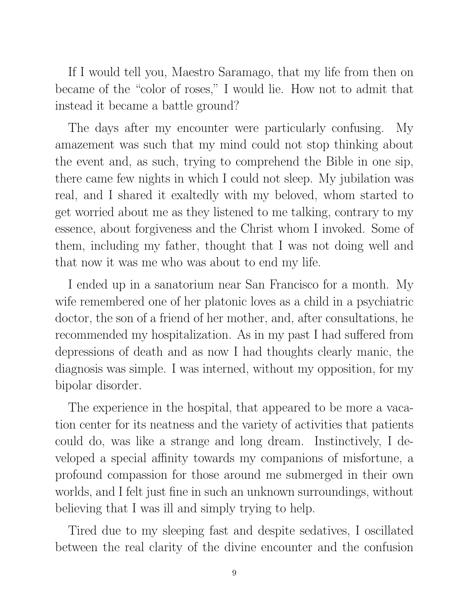If I would tell you, Maestro Saramago, that my life from then on became of the "color of roses," I would lie. How not to admit that instead it became a battle ground?

The days after my encounter were particularly confusing. My amazement was such that my mind could not stop thinking about the event and, as such, trying to comprehend the Bible in one sip, there came few nights in which I could not sleep. My jubilation was real, and I shared it exaltedly with my beloved, whom started to get worried about me as they listened to me talking, contrary to my essence, about forgiveness and the Christ whom I invoked. Some of them, including my father, thought that I was not doing well and that now it was me who was about to end my life.

I ended up in a sanatorium near San Francisco for a month. My wife remembered one of her platonic loves as a child in a psychiatric doctor, the son of a friend of her mother, and, after consultations, he recommended my hospitalization. As in my past I had suffered from depressions of death and as now I had thoughts clearly manic, the diagnosis was simple. I was interned, without my opposition, for my bipolar disorder.

The experience in the hospital, that appeared to be more a vacation center for its neatness and the variety of activities that patients could do, was like a strange and long dream. Instinctively, I developed a special affinity towards my companions of misfortune, a profound compassion for those around me submerged in their own worlds, and I felt just fine in such an unknown surroundings, without believing that I was ill and simply trying to help.

Tired due to my sleeping fast and despite sedatives, I oscillated between the real clarity of the divine encounter and the confusion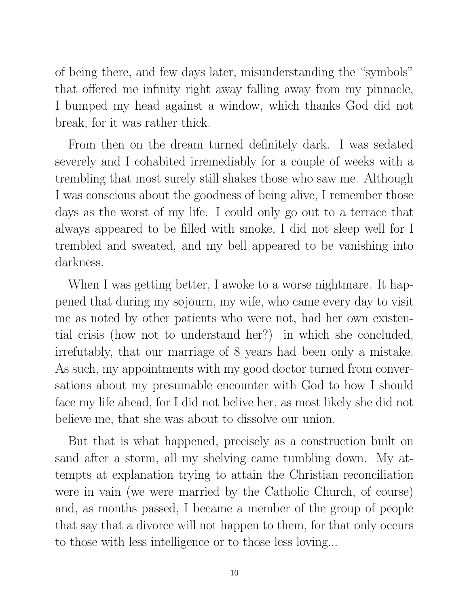of being there, and few days later, misunderstanding the "symbols" that offered me infinity right away falling away from my pinnacle, I bumped my head against a window, which thanks God did not break, for it was rather thick.

From then on the dream turned definitely dark. I was sedated severely and I cohabited irremediably for a couple of weeks with a trembling that most surely still shakes those who saw me. Although I was conscious about the goodness of being alive, I remember those days as the worst of my life. I could only go out to a terrace that always appeared to be filled with smoke, I did not sleep well for I trembled and sweated, and my bell appeared to be vanishing into darkness.

When I was getting better, I awoke to a worse nightmare. It happened that during my sojourn, my wife, who came every day to visit me as noted by other patients who were not, had her own existential crisis (how not to understand her?) in which she concluded, irrefutably, that our marriage of 8 years had been only a mistake. As such, my appointments with my good doctor turned from conversations about my presumable encounter with God to how I should face my life ahead, for I did not belive her, as most likely she did not believe me, that she was about to dissolve our union.

But that is what happened, precisely as a construction built on sand after a storm, all my shelving came tumbling down. My attempts at explanation trying to attain the Christian reconciliation were in vain (we were married by the Catholic Church, of course) and, as months passed, I became a member of the group of people that say that a divorce will not happen to them, for that only occurs to those with less intelligence or to those less loving...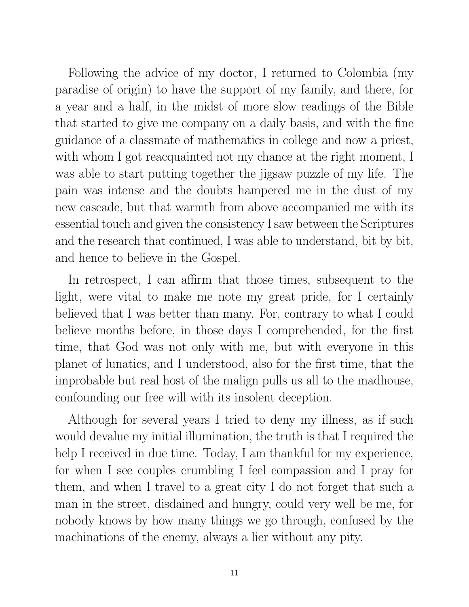Following the advice of my doctor, I returned to Colombia (my paradise of origin) to have the support of my family, and there, for a year and a half, in the midst of more slow readings of the Bible that started to give me company on a daily basis, and with the fine guidance of a classmate of mathematics in college and now a priest, with whom I got reacquainted not my chance at the right moment, I was able to start putting together the jigsaw puzzle of my life. The pain was intense and the doubts hampered me in the dust of my new cascade, but that warmth from above accompanied me with its essential touch and given the consistency I saw between the Scriptures and the research that continued, I was able to understand, bit by bit, and hence to believe in the Gospel.

In retrospect, I can affirm that those times, subsequent to the light, were vital to make me note my great pride, for I certainly believed that I was better than many. For, contrary to what I could believe months before, in those days I comprehended, for the first time, that God was not only with me, but with everyone in this planet of lunatics, and I understood, also for the first time, that the improbable but real host of the malign pulls us all to the madhouse, confounding our free will with its insolent deception.

Although for several years I tried to deny my illness, as if such would devalue my initial illumination, the truth is that I required the help I received in due time. Today, I am thankful for my experience, for when I see couples crumbling I feel compassion and I pray for them, and when I travel to a great city I do not forget that such a man in the street, disdained and hungry, could very well be me, for nobody knows by how many things we go through, confused by the machinations of the enemy, always a lier without any pity.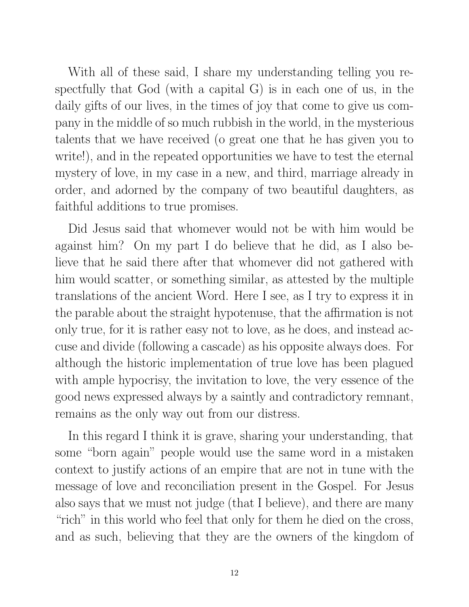With all of these said, I share my understanding telling you respectfully that God (with a capital G) is in each one of us, in the daily gifts of our lives, in the times of joy that come to give us company in the middle of so much rubbish in the world, in the mysterious talents that we have received (o great one that he has given you to write!), and in the repeated opportunities we have to test the eternal mystery of love, in my case in a new, and third, marriage already in order, and adorned by the company of two beautiful daughters, as faithful additions to true promises.

Did Jesus said that whomever would not be with him would be against him? On my part I do believe that he did, as I also believe that he said there after that whomever did not gathered with him would scatter, or something similar, as attested by the multiple translations of the ancient Word. Here I see, as I try to express it in the parable about the straight hypotenuse, that the affirmation is not only true, for it is rather easy not to love, as he does, and instead accuse and divide (following a cascade) as his opposite always does. For although the historic implementation of true love has been plagued with ample hypocrisy, the invitation to love, the very essence of the good news expressed always by a saintly and contradictory remnant, remains as the only way out from our distress.

In this regard I think it is grave, sharing your understanding, that some "born again" people would use the same word in a mistaken context to justify actions of an empire that are not in tune with the message of love and reconciliation present in the Gospel. For Jesus also says that we must not judge (that I believe), and there are many "rich" in this world who feel that only for them he died on the cross, and as such, believing that they are the owners of the kingdom of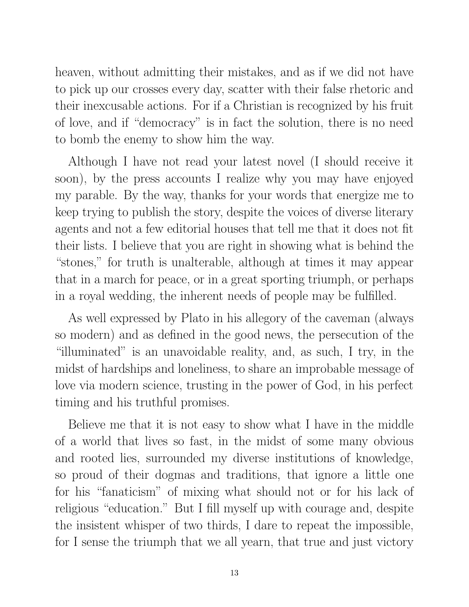heaven, without admitting their mistakes, and as if we did not have to pick up our crosses every day, scatter with their false rhetoric and their inexcusable actions. For if a Christian is recognized by his fruit of love, and if "democracy" is in fact the solution, there is no need to bomb the enemy to show him the way.

Although I have not read your latest novel (I should receive it soon), by the press accounts I realize why you may have enjoyed my parable. By the way, thanks for your words that energize me to keep trying to publish the story, despite the voices of diverse literary agents and not a few editorial houses that tell me that it does not fit their lists. I believe that you are right in showing what is behind the "stones," for truth is unalterable, although at times it may appear that in a march for peace, or in a great sporting triumph, or perhaps in a royal wedding, the inherent needs of people may be fulfilled.

As well expressed by Plato in his allegory of the caveman (always so modern) and as defined in the good news, the persecution of the "illuminated" is an unavoidable reality, and, as such, I try, in the midst of hardships and loneliness, to share an improbable message of love via modern science, trusting in the power of God, in his perfect timing and his truthful promises.

Believe me that it is not easy to show what I have in the middle of a world that lives so fast, in the midst of some many obvious and rooted lies, surrounded my diverse institutions of knowledge, so proud of their dogmas and traditions, that ignore a little one for his "fanaticism" of mixing what should not or for his lack of religious "education." But I fill myself up with courage and, despite the insistent whisper of two thirds, I dare to repeat the impossible, for I sense the triumph that we all yearn, that true and just victory